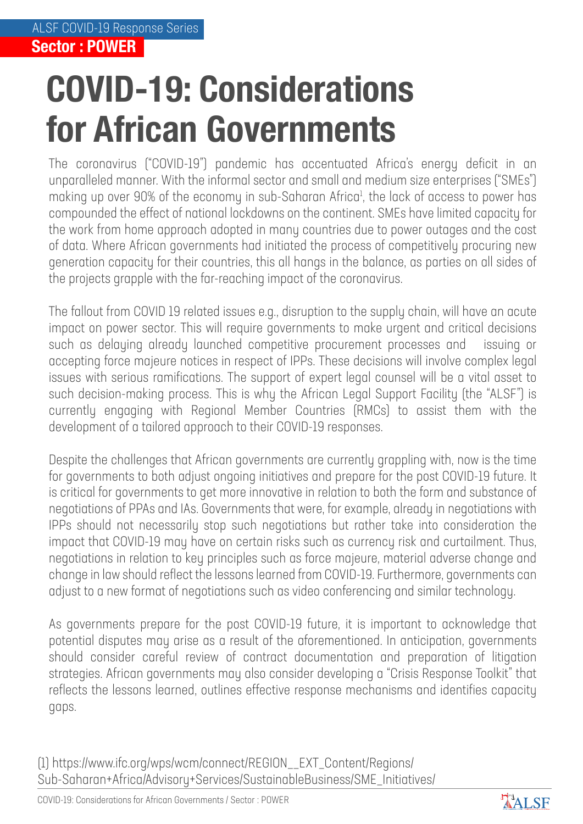## **COVID-19: Considerations for African Governments**

The coronavirus ("COVID-19") pandemic has accentuated Africa's energy deficit in an unparalleled manner. With the informal sector and small and medium size enterprises ("SMEs") making up over 90% of the economy in sub-Saharan Africa<sup>1</sup>, the lack of access to power has compounded the effect of national lockdowns on the continent. SMEs have limited capacity for the work from home approach adopted in many countries due to power outages and the cost of data. Where African governments had initiated the process of competitively procuring new generation capacity for their countries, this all hangs in the balance, as parties on all sides of the projects grapple with the far-reaching impact of the coronavirus.

The fallout from COVID 19 related issues e.g., disruption to the supply chain, will have an acute impact on power sector. This will require governments to make urgent and critical decisions such as delaying already launched competitive procurement processes and issuing or accepting force majeure notices in respect of IPPs. These decisions will involve complex legal issues with serious ramifications. The support of expert legal counsel will be a vital asset to such decision-making process. This is why the African Legal Support Facility (the "ALSF") is currently engaging with Regional Member Countries (RMCs) to assist them with the development of a tailored approach to their COVID-19 responses.

Despite the challenges that African governments are currently grappling with, now is the time for governments to both adjust ongoing initiatives and prepare for the post COVID-19 future. It is critical for governments to get more innovative in relation to both the form and substance of negotiations of PPAs and IAs. Governments that were, for example, already in negotiations with IPPs should not necessarily stop such negotiations but rather take into consideration the impact that COVID-19 may have on certain risks such as currency risk and curtailment. Thus, negotiations in relation to key principles such as force majeure, material adverse change and change in law should reflect the lessons learned from COVID-19. Furthermore, governments can adjust to a new format of negotiations such as video conferencing and similar technology.

As governments prepare for the post COVID-19 future, it is important to acknowledge that potential disputes may arise as a result of the aforementioned. In anticipation, governments should consider careful review of contract documentation and preparation of litigation strategies. African governments may also consider developing a "Crisis Response Toolkit" that reflects the lessons learned, outlines effective response mechanisms and identifies capacity gaps.

(1) https://www.ifc.org/wps/wcm/connect/REGION\_\_EXT\_Content/Regions/ Sub-Saharan+Africa/Advisory+Services/SustainableBusiness/SME\_Initiatives/